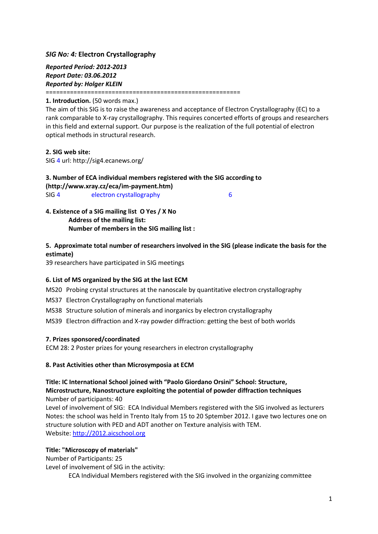## *SIG No: 4:* **Electron Crystallography**

*Reported Period: 2012-2013 Report Date: 03.06.2012 Reported by: Holger KLEIN*

========================================================

### **1. Introduction.** (50 words max.)

The aim of this SIG is to raise the awareness and acceptance of Electron Crystallography (EC) to a rank comparable to X-ray crystallography. This requires concerted efforts of groups and researchers in this field and external support. Our purpose is the realization of the full potential of electron optical methods in structural research.

### **2. SIG web site:**

SIG 4 url: http://sig4.ecanews.org/

# **3. Number of ECA individual members registered with the SIG according to [\(http://www.xray.cz/eca/im-payment.htm\)](http://www.xray.cz/eca/im-payment.htm)**

SIG 4 electron crystallography 6

## **4. Existence of a SIG mailing list O Yes / X No Address of the mailing list: Number of members in the SIG mailing list :**

## **5. Approximate total number of researchers involved in the SIG (please indicate the basis for the estimate)**

39 researchers have participated in SIG meetings

## **6. List of MS organized by the SIG at the last ECM**

MS20 Probing crystal structures at the nanoscale by quantitative electron crystallography

- MS37 Electron Crystallography on functional materials
- MS38 Structure solution of minerals and inorganics by electron crystallography

MS39 Electron diffraction and X-ray powder diffraction: getting the best of both worlds

## **7. Prizes sponsored/coordinated**

ECM 28: 2 Poster prizes for young researchers in electron crystallography

#### **8. Past Activities other than Microsymposia at ECM**

### **Title: IC International School joined with "Paolo Giordano Orsini" School: Structure, Microstructure, Nanostructure exploiting the potential of powder diffraction techniques** Number of participants: 40

Level of involvement of SIG: ECA Individual Members registered with the SIG involved as lecturers Notes: the school was held in Trento Italy from 15 to 20 Sptember 2012. I gave two lectures one on structure solution with PED and ADT another on Texture analyisis with TEM. Website[: http://2012.aicschool.org](http://2012.aicschool.org/)

#### **Title: "Microscopy of materials"**

Number of Participants: 25

Level of involvement of SIG in the activity:

ECA Individual Members registered with the SIG involved in the organizing committee